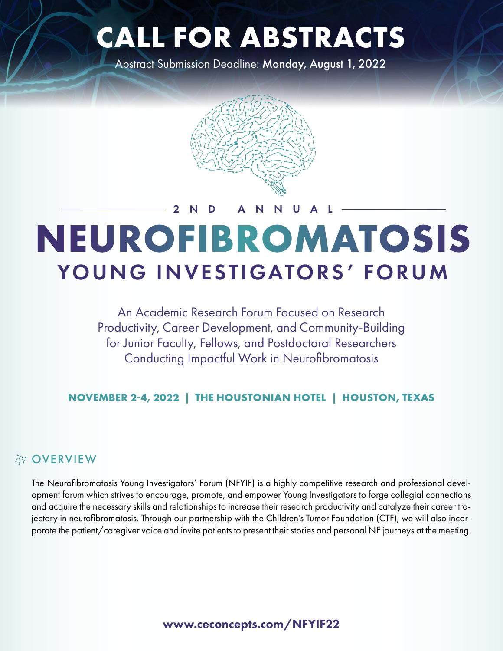# **CALL FOR ABSTRACTS**

Abstract Submission Deadline: Monday, August 1, 2022



## **NEUROFIBROMATOSIS** YOUNG INVESTIGATORS' FORUM 2ND ANNUAL

An Academic Research Forum Focused on Research Productivity, Career Development, and Community-Building for Junior Faculty, Fellows, and Postdoctoral Researchers Conducting Impactful Work in Neurofibromatosis

**NOVEMBER 2-4, 2022 | THE HOUSTONIAN HOTEL | HOUSTON, TEXAS**

#### **P<sub>2</sub>** OVERVIEW

The Neurofibromatosis Young Investigators' Forum (NFYIF) is a highly competitive research and professional development forum which strives to encourage, promote, and empower Young Investigators to forge collegial connections and acquire the necessary skills and relationships to increase their research productivity and catalyze their career trajectory in neurofibromatosis. Through our partnership with the Children's Tumor Foundation (CTF), we will also incorporate the patient/caregiver voice and invite patients to present their stories and personal NF journeys at the meeting.

www.ceconcepts.com/NFYIF22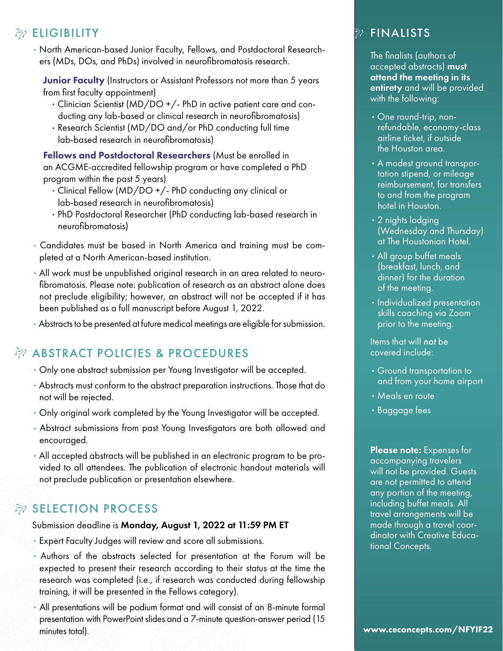#### **ELIGIBILITY**

• North American-based Junior Faculty, Fellows, and Postdoctoral Researchers (MDs, DOs, and PhDs) involved in neurofibromatosis research.

Junior Faculty (Instructors or Assistant Professors not more than 5 years from first faculty appointment)

- Clinician Scientist (MD/DO +/- PhD in active patient care and conducting any lab-based or clinical research in neurofibromatosis)
- Research Scientist (MD/DO and/or PhD conducting full time lab-based research in neurofibromatosis)

Fellows and Postdoctoral Researchers (Must be enrolled in an ACGME-accredited fellowship program or have completed a PhD program within the past 5 years)

- Clinical Fellow (MD/DO +/- PhD conducting any clinical or lab-based research in neurofibromatosis)
- PhD Postdoctoral Researcher (PhD conducting lab-based research in neurofibromatosis)
- Candidates must be based in North America and training must be completed at a North American-based institution.
- All work must be unpublished original research in an area related to neurofibromatosis. Please note: publication of research as an abstract alone does not preclude eligibility; however, an abstract will not be accepted if it has been published as a full manuscript before August 1, 2022.
- Abstracts to be presented at future medical meetings are eligible for submission.

## $\partial z$  ABSTRACT POLICIES & PROCEDURES

- Only one abstract submission per Young Investigator will be accepted.
- Abstracts must conform to the abstract preparation instructions. Those that do not will be rejected.
- Only original work completed by the Young Investigator will be accepted.
- Abstract submissions from past Young Investigators are both allowed and encouraged.
- All accepted abstracts will be published in an electronic program to be provided to all attendees. The publication of electronic handout materials will not preclude publication or presentation elsewhere.

## **EX SELECTION PROCESS**

Submission deadline is Monday, August 1, 2022 at 11:59 PM ET

- Expert Faculty Judges will review and score all submissions.
- Authors of the abstracts selected for presentation at the Forum will be expected to present their research according to their status at the time the research was completed (i.e., if research was conducted during fellowship training, it will be presented in the Fellows category).
- All presentations will be podium format and will consist of an 8-minute formal presentation with PowerPoint slides and a 7-minute question-answer period (15 minutes total). We are also as a set of the set of the set of the set of the set of the set of the set of the set of the set of the set of the set of the set of the set of the set of the set of the set of the set of the se

## $\mathcal{P}$  FINALISTS

The finalists (authors of accepted abstracts) must attend the meeting in its entirety and will be provided with the following:

- One round-trip, nonrefundable, economy-class airline ticket, if outside the Houston area.
- A modest ground transportation stipend, or mileage reimbursement, for transfers to and from the program hotel in Houston.
- 2 nights lodging (Wednesday and Thursday) at The Houstonian Hotel.
- All group buffet meals (breakfast, lunch, and dinner) for the duration of the meeting.
- Individualized presentation skills coaching via Zoom prior to the meeting.

Items that will *not* be covered include:

- Ground transportation to and from your home airport
- Meals en route
- Baggage fees

Please note: Expenses for accompanying travelers will not be provided. Guests are not permitted to attend any portion of the meeting, including buffet meals. All travel arrangements will be made through a travel coordinator with Creative Educational Concepts.